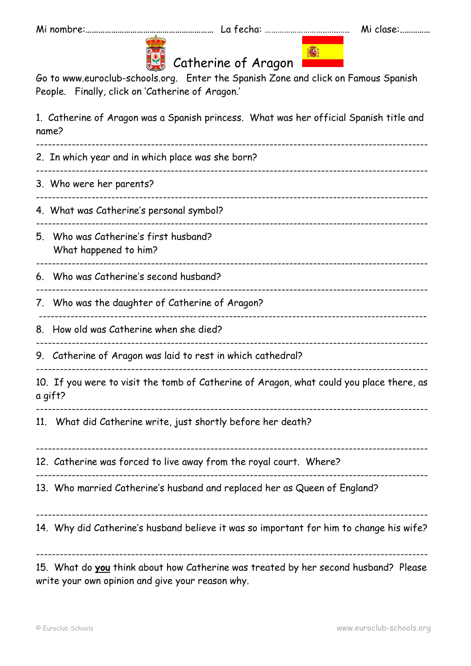**痛!** 



## Catherine of Aragon

Go to www.euroclub-schools.org. Enter the Spanish Zone and click on Famous Spanish People. Finally, click on 'Catherine of Aragon.'

1. Catherine of Aragon was a Spanish princess. What was her official Spanish title and name?

|    | 2. In which year and in which place was she born?                                                                                       |  |  |
|----|-----------------------------------------------------------------------------------------------------------------------------------------|--|--|
|    | 3. Who were her parents?                                                                                                                |  |  |
|    | 4. What was Catherine's personal symbol?                                                                                                |  |  |
| 5. | Who was Catherine's first husband?<br>What happened to him?                                                                             |  |  |
|    | 6. Who was Catherine's second husband?                                                                                                  |  |  |
|    | 7. Who was the daughter of Catherine of Aragon?                                                                                         |  |  |
|    | 8. How old was Catherine when she died?                                                                                                 |  |  |
|    | 9. Catherine of Aragon was laid to rest in which cathedral?                                                                             |  |  |
|    | 10. If you were to visit the tomb of Catherine of Aragon, what could you place there, as<br>a gift?                                     |  |  |
|    | 11. What did Catherine write, just shortly before her death?                                                                            |  |  |
|    | 12. Catherine was forced to live away from the royal court. Where?                                                                      |  |  |
|    | 13. Who married Catherine's husband and replaced her as Queen of England?                                                               |  |  |
|    | 14. Why did Catherine's husband believe it was so important for him to change his wife?                                                 |  |  |
|    | 15. What do you think about how Catherine was treated by her second husband? Please<br>write your own opinion and give your reason why. |  |  |